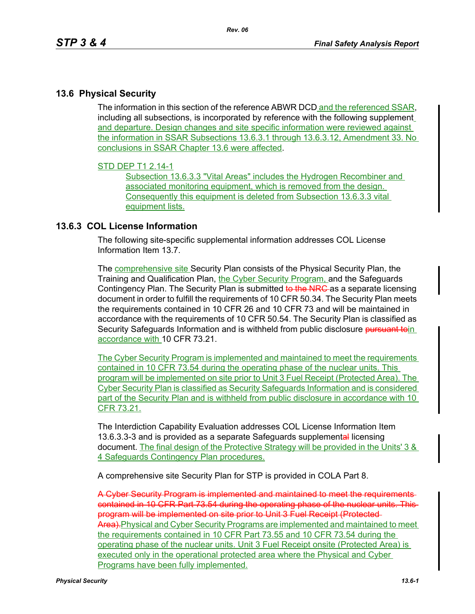## **13.6 Physical Security**

The information in this section of the reference ABWR DCD and the referenced SSAR, including all subsections, is incorporated by reference with the following supplement and departure. Design changes and site specific information were reviewed against the information in SSAR Subsections 13.6.3.1 through 13.6.3.12, Amendment 33. No conclusions in SSAR Chapter 13.6 were affected.

## STD DEP T1 2.14-1

Subsection 13.6.3.3 "Vital Areas" includes the Hydrogen Recombiner and associated monitoring equipment, which is removed from the design. Consequently this equipment is deleted from Subsection 13.6.3.3 vital equipment lists.

## **13.6.3 COL License Information**

The following site-specific supplemental information addresses COL License Information Item 13.7.

The **comprehensive site** Security Plan consists of the Physical Security Plan, the Training and Qualification Plan, the Cyber Security Program, and the Safeguards Contingency Plan. The Security Plan is submitted to the NRC as a separate licensing document in order to fulfill the requirements of 10 CFR 50.34. The Security Plan meets the requirements contained in 10 CFR 26 and 10 CFR 73 and will be maintained in accordance with the requirements of 10 CFR 50.54. The Security Plan is classified as Security Safeguards Information and is withheld from public disclosure pursuant toin accordance with 10 CFR 73.21.

The Cyber Security Program is implemented and maintained to meet the requirements contained in 10 CFR 73.54 during the operating phase of the nuclear units. This program will be implemented on site prior to Unit 3 Fuel Receipt (Protected Area). The Cyber Security Plan is classified as Security Safeguards Information and is considered part of the Security Plan and is withheld from public disclosure in accordance with 10 CFR 73.21.

The Interdiction Capability Evaluation addresses COL License Information Item 13.6.3.3-3 and is provided as a separate Safeguards supplemental licensing document. The final design of the Protective Strategy will be provided in the Units' 3 & 4 Safeguards Contingency Plan procedures.

A comprehensive site Security Plan for STP is provided in COLA Part 8.

A Cyber Security Program is implemented and maintained to meet the requirements contained in 10 CFR Part 73.54 during the operating phase of the nuclear units. This program will be implemented on site prior to Unit 3 Fuel Receipt (Protected Area). Physical and Cyber Security Programs are implemented and maintained to meet the requirements contained in 10 CFR Part 73.55 and 10 CFR 73.54 during the operating phase of the nuclear units. Unit 3 Fuel Receipt onsite (Protected Area) is executed only in the operational protected area where the Physical and Cyber Programs have been fully implemented.